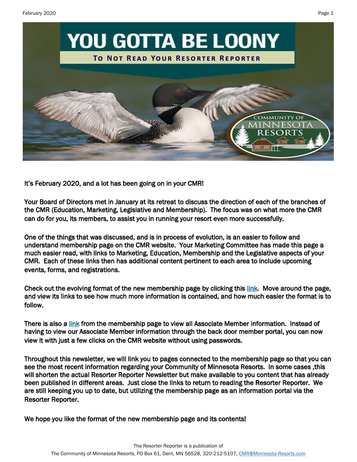

It's February 2020, and a lot has been going on in your CMR!

Your Board of Directors met in January at its retreat to discuss the direction of each of the branches of the CMR (Education, Marketing, Legislative and Membership). The focus was on what more the CMR can do for you, its members, to assist you in running your resort even more successfully.

One of the things that was discussed, and is in process of evolution, is an easier to follow and understand membership page on the CMR website. Your Marketing Committee has made this page a much easier read, with links to Marketing, Education, Membership and the Legislative aspects of your CMR. Each of these links then has additional content pertinent to each area to include upcoming events, forms, and registrations.

Check out the evolving format of the new membership page by clicking this [link.](https://minnesota-resorts.com/membership/) Move around the page, and view its links to see how much more information is contained, and how much easier the format is to follow.

There is also a [link](https://minnesota-resorts.com/membership-associate/) from the membership page to view all Associate Member information. Instead of having to view our Associate Member information through the back door member portal, you can now view it with just a few clicks on the CMR website without using passwords.

Throughout this newsletter, we will link you to pages connected to the membership page so that you can see the most recent information regarding your Community of Minnesota Resorts. In some cases ,this will shorten the actual Resorter Reporter Newsletter but make available to you content that has already been published in different areas. Just close the links to return to reading the Resorter Reporter. We are still keeping you up to date, but utilizing the membership page as an information portal via the Resorter Reporter.

We hope you like the format of the new membership page and its contents!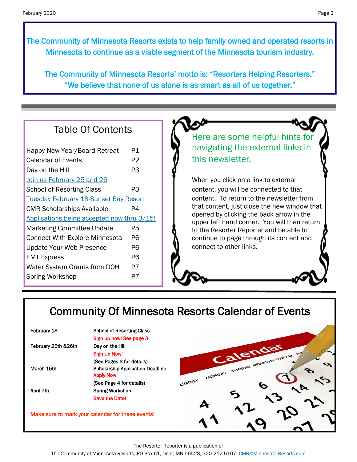The Community of Minnesota Resorts exists to help family owned and operated resorts in Minnesota to continue as a viable segment of the Minnesota tourism industry.

The Community of Minnesota Resorts' motto is: "Resorters Helping Resorters." "We believe that none of us alone is as smart as all of us together."

### Table Of Contents

| Happy New Year/Board Retreat                 | P1 |
|----------------------------------------------|----|
| <b>Calendar of Events</b>                    | P2 |
| Day on the Hill                              | P3 |
| Join us February 25 and 26                   |    |
| <b>School of Resorting Class</b>             | PЗ |
| <b>Tuesday February 18-Sunset Bay Resort</b> |    |
| <b>CMR Scholarships Available</b>            | P4 |
| Applications being accepted now thru 3/15!   |    |
|                                              |    |
| <b>Marketing Committee Update</b>            | P5 |
| <b>Connect With Explore Minnesota</b>        | P6 |
| <b>Update Your Web Presence</b>              | P6 |
| <b>EMT Express</b>                           | P6 |
| Water System Grants from DOH                 | P7 |
| <b>Spring Workshop</b>                       | P7 |

Here are some helpful hints for navigating the external links in this newsletter.

When you click on a link to external content, you will be connected to that content. To return to the newsletter from that content, just close the new window that opened by clicking the back arrow in the upper left hand corner. You will then return to the Resorter Reporter and be able to continue to page through its content and connect to other links.

# Community Of Minnesota Resorts Calendar of Events

| February 18         | <b>School of Resorting Class</b>                  |       |                                       |  |
|---------------------|---------------------------------------------------|-------|---------------------------------------|--|
|                     | Sign up now! See page 3                           |       |                                       |  |
| February 25th &26th | Day on the Hill                                   |       |                                       |  |
|                     | <b>Sign Up Now!</b>                               |       | Calendar                              |  |
|                     | (See Pages 3 for details)                         |       |                                       |  |
| March 15th          | <b>Scholarship Application Deadline</b>           |       | MONDAY TUESDAY WEDNESDAY THURSDAY FRY |  |
|                     | <b>Apply Now!</b>                                 |       |                                       |  |
|                     | (See Page 4 for details)                          | UNDAY |                                       |  |
| April 7th           | <b>Spring Workshop</b>                            |       |                                       |  |
|                     | <b>Save the Date!</b>                             |       |                                       |  |
|                     |                                                   |       |                                       |  |
|                     | Make sure to mark your calendar for these events! |       |                                       |  |
|                     |                                                   |       |                                       |  |
|                     |                                                   |       |                                       |  |

The Resorter Reporter is a publication of

The Community of Minnesota Resorts, PO Box 61, Dent, MN 56528, 320-212-5107, [CMR@Minnesota-Resorts.com](mailto:CMR@Minnesota-Resorts.com?subject=Community%20of%20Minnesota%20Resorts)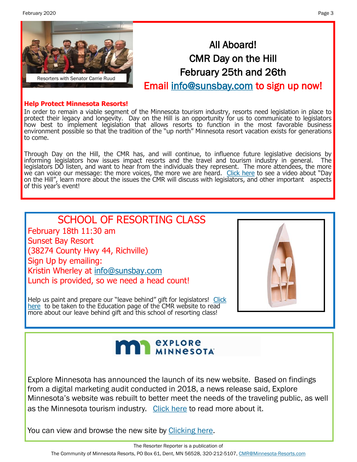<span id="page-2-0"></span>February 2020 Page 3



# All Aboard! CMR Day on the Hill February 25th and 26th

Email [info@sunsbay.com t](mailto:info@sunsbay.com?subject=Day%20On%20The%20Hill%20Sign-Up)o sign up now!

#### **Help Protect Minnesota Resorts!**

In order to remain a viable segment of the Minnesota tourism industry, resorts need legislation in place to protect their legacy and longevity. Day on the Hill is an opportunity for us to communicate to legislators how best to implement legislation that allows resorts to function in the most favorable business environment possible so that the tradition of the "up north" Minnesota resort vacation exists for generations to come.

Through Day on the Hill, the CMR has, and will continue, to influence future legislative decisions by informing legislators how issues impact resorts and the travel and tourism industry in general. The legislators DO listen, and want to hear from the individuals they represent. The more attendees, the more we can voice our message: the more voices, the more we are heard. [Click here](https://minnesota-resorts.com/membership-legislative/) to see a video about "Day on the Hill", learn more about the issues the CMR will discuss with legislators, and other important aspects of this year's event!

# SCHOOL OF RESORTING CLASS

February 18th 11:30 am Sunset Bay Resort (38274 County Hwy 44, Richville) Sign Up by emailing: Kristin Wherley at [info@sunsbay.com](mailto:info@sunsbay.com?subject=School%20of%20Resorting%20Class) Lunch is provided, so we need a head count!



Help us paint and prepare our "leave behind" gift for legislators! Click [here](https://minnesota-resorts.com/membership-education/) to be taken to the Education page of the CMR website to read more about our leave behind gift and this school of resorting class!

# **MIN** *explore*

Explore Minnesota has announced the launch of its new website. Based on findings from a digital marketing audit conducted in 2018, a news release said, Explore Minnesota's website was rebuilt to better meet the needs of the traveling public, as well as the Minnesota tourism industry. [Click here](https://www.twincities.com/2020/02/12/minnesota-overhauls-its-tourism-promotion-website/) to read more about it.

You can view and browse the new site by [Clicking here.](https://www.exploreminnesota.com/)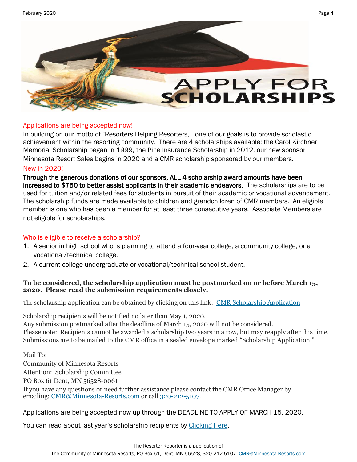<span id="page-3-0"></span>

#### Applications are being accepted now!

In building on our motto of "Resorters Helping Resorters," one of our goals is to provide scholastic achievement within the resorting community. There are 4 scholarships available: the Carol Kirchner Memorial Scholarship began in 1999, the Pine Insurance Scholarship in 2012, our new sponsor Minnesota Resort Sales begins in 2020 and a CMR scholarship sponsored by our members.

#### New in 2020!

Through the generous donations of our sponsors, ALL 4 scholarship award amounts have been increased to \$750 to better assist applicants in their academic endeavors. The scholarships are to be used for tuition and/or related fees for students in pursuit of their academic or vocational advancement. The scholarship funds are made available to children and grandchildren of CMR members. An eligible member is one who has been a member for at least three consecutive years. Associate Members are not eligible for scholarships.

#### Who is eligible to receive a scholarship?

- 1. A senior in high school who is planning to attend a four-year college, a community college, or a vocational/technical college.
- 2. A current college undergraduate or vocational/technical school student.

#### **To be considered, the scholarship application must be postmarked on or before March 15, 2020. Please read the submission requirements closely.**

The scholarship application can be obtained by clicking on this link: [CMR Scholarship Application](http://minnesota-resorts.com/scholarships/)

Scholarship recipients will be notified no later than May 1, 2020.

Any submission postmarked after the deadline of March 15, 2020 will not be considered. Please note: Recipients cannot be awarded a scholarship two years in a row, but may reapply after this time. Submissions are to be mailed to the CMR office in a sealed envelope marked "Scholarship Application."

Mail To:

Community of Minnesota Resorts Attention: Scholarship Committee

PO Box 61 Dent, MN 56528-0061

If you have any questions or need further assistance please contact the CMR Office Manager by emailing: [CMR@Minnesota](mailto:cmr@minnesota-resorts.com)-Resorts.com or call 320-212-5107.

Applications are being accepted now up through the DEADLINE TO APPLY OF MARCH 15, 2020.

You can read about last year's scholarship recipients by [Clicking Here.](http://minnesota-resorts.com/scholarships/)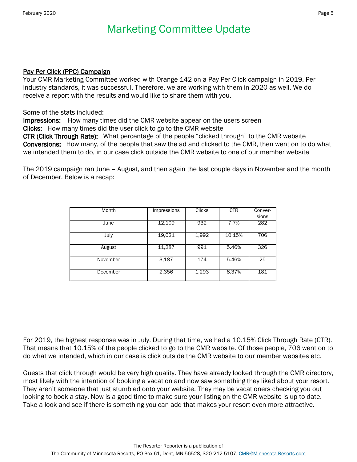# Marketing Committee Update

#### Pay Per Click (PPC) Campaign

Your CMR Marketing Committee worked with Orange 142 on a Pay Per Click campaign in 2019. Per industry standards, it was successful. Therefore, we are working with them in 2020 as well. We do receive a report with the results and would like to share them with you.

Some of the stats included:

Impressions: How many times did the CMR website appear on the users screen Clicks: How many times did the user click to go to the CMR website

CTR (Click Through Rate): What percentage of the people "clicked through" to the CMR website Conversions: How many, of the people that saw the ad and clicked to the CMR, then went on to do what we intended them to do, in our case click outside the CMR website to one of our member website

The 2019 campaign ran June – August, and then again the last couple days in November and the month of December. Below is a recap:

| Month    | Impressions | Clicks | <b>CTR</b> | Conver-<br>sions |
|----------|-------------|--------|------------|------------------|
| June     | 12,109      | 932    | 7.7%       | 282              |
| July     | 19,621      | 1,992  | 10.15%     | 706              |
| August   | 11,287      | 991    | 5.46%      | 326              |
|          |             |        |            |                  |
| November | 3.187       | 174    | 5.46%      | 25               |
| December | 2,356       | 1,293  | 8.37%      | 181              |

For 2019, the highest response was in July. During that time, we had a 10.15% Click Through Rate (CTR). That means that 10.15% of the people clicked to go to the CMR website. Of those people, 706 went on to do what we intended, which in our case is click outside the CMR website to our member websites etc.

Guests that click through would be very high quality. They have already looked through the CMR directory, most likely with the intention of booking a vacation and now saw something they liked about your resort. They aren't someone that just stumbled onto your website. They may be vacationers checking you out looking to book a stay. Now is a good time to make sure your listing on the CMR website is up to date. Take a look and see if there is something you can add that makes your resort even more attractive.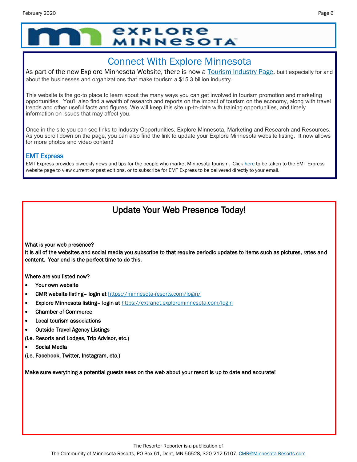# *<u>EXPLORE</u>* **MINNESOTA**

# Connect With Explore Minnesota

As part of the new Explore Minnesota Website, there is now a [Tourism Industry Page,](https://mn.gov/tourism-industry/) built especially for and about the businesses and organizations that make tourism a \$15.3 billion industry.

This website is the go-to place to learn about the many ways you can get involved in tourism promotion and marketing opportunities. You'll also find a wealth of research and reports on the impact of tourism on the economy, along with travel trends and other useful facts and figures. We will keep this site up-to-date with training opportunities, and timely information on issues that may affect you.

Once in the site you can see links to Industry Opportunities, Explore Minnesota, Marketing and Research and Resources. As you scroll down on the page, you can also find the link to update your Explore Minnesota website listing. It now allows for more photos and video content!

#### EMT Express

EMT Express provides biweekly news and tips for the people who market Minnesota tourism. Click [here](https://mn.gov/tourism-industry/resources/emt-express/) to be taken to the EMT Express website page to view current or past editions, or to subscribe for EMT Express to be delivered directly to your email.

## Update Your Web Presence Today!

What is your web presence?

It is all of the websites and social media you subscribe to that require periodic updates to items such as pictures, rates and content. Year end is the perfect time to do this.

Where are you listed now?

- Your own website
- CMR website listing– login at<https://minnesota-resorts.com/login/>
- Explore Minnesota listing- login at <https://extranet.exploreminnesota.com/login>
- Chamber of Commerce
- Local tourism associations
- Outside Travel Agency Listings

(i.e. Resorts and Lodges, Trip Advisor, etc.)

- Social Media
- (i.e. Facebook, Twitter, Instagram, etc.)

Make sure everything a potential guests sees on the web about your resort is up to date and accurate!

The Community of Minnesota Resorts, PO Box 61, Dent, MN 56528, 320-212-5107, [CMR@Minnesota-Resorts.com](mailto:CMR@Minnesota-Resorts.com?subject=Community%20of%20Minnesota%20Resorts)